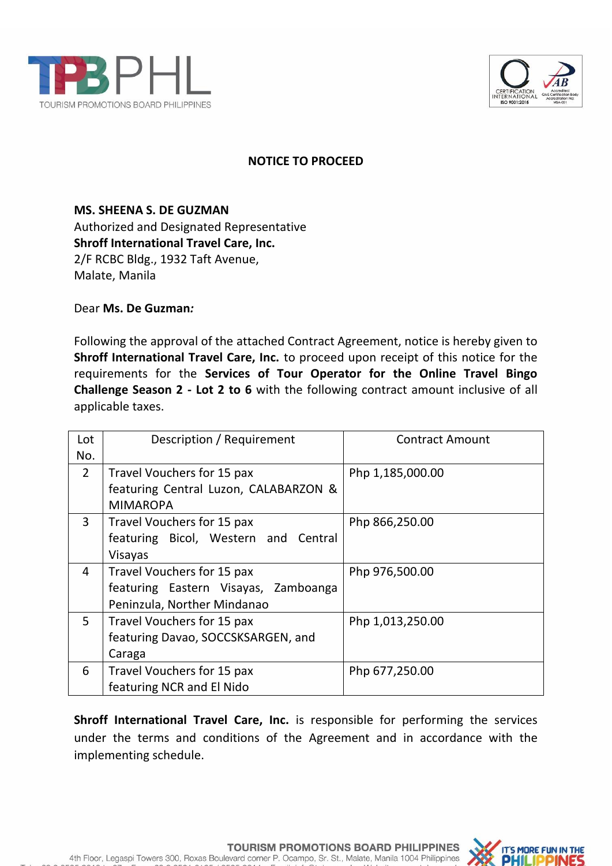



## **NOTICE TO PROCEED**

**MS. SHEENA S. DE GUZMAN** Authorized and Designated Representative **Shroff International Travel Care, Inc.** 2/F RCBC Bldg., 1932 Taft Avenue, Malate, Manila

Dear **Ms. De Guzman***:*

Following the approval of the attached Contract Agreement, notice is hereby given to **Shroff International Travel Care, Inc.** to proceed upon receipt of this notice for the requirements for the **Services of Tour Operator for the Online Travel Bingo Challenge Season 2 - Lot 2 to 6** with the following contract amount inclusive of all applicable taxes.

| Lot | Description / Requirement             | <b>Contract Amount</b> |
|-----|---------------------------------------|------------------------|
| No. |                                       |                        |
| 2   | Travel Vouchers for 15 pax            | Php 1,185,000.00       |
|     | featuring Central Luzon, CALABARZON & |                        |
|     | <b>MIMAROPA</b>                       |                        |
| 3   | Travel Vouchers for 15 pax            | Php 866,250.00         |
|     | featuring Bicol, Western and Central  |                        |
|     | Visayas                               |                        |
| 4   | Travel Vouchers for 15 pax            | Php 976,500.00         |
|     | featuring Eastern Visayas, Zamboanga  |                        |
|     | Peninzula, Norther Mindanao           |                        |
| 5   | Travel Vouchers for 15 pax            | Php 1,013,250.00       |
|     | featuring Davao, SOCCSKSARGEN, and    |                        |
|     | Caraga                                |                        |
| 6   | Travel Vouchers for 15 pax            | Php 677,250.00         |
|     | featuring NCR and El Nido             |                        |

**Shroff International Travel Care, Inc.** is responsible for performing the services under the terms and conditions of the Agreement and in accordance with the implementing schedule.